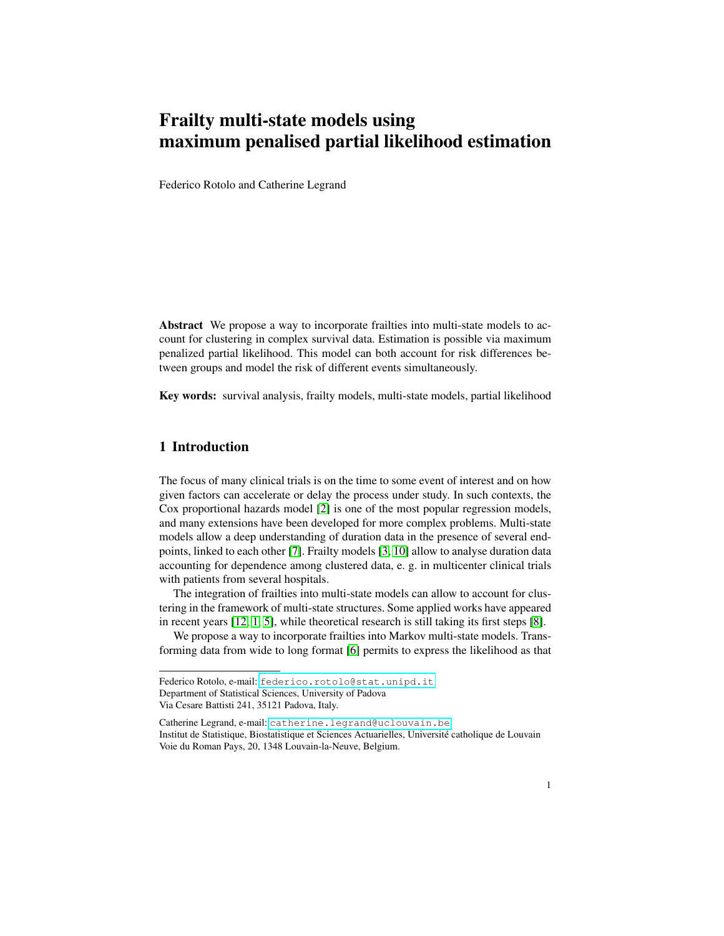# Frailty multi-state models using maximum penalised partial likelihood estimation

Federico Rotolo and Catherine Legrand

Abstract We propose a way to incorporate frailties into multi-state models to account for clustering in complex survival data. Estimation is possible via maximum penalized partial likelihood. This model can both account for risk differences between groups and model the risk of different events simultaneously.

Key words: survival analysis, frailty models, multi-state models, partial likelihood

## 1 Introduction

The focus of many clinical trials is on the time to some event of interest and on how given factors can accelerate or delay the process under study. In such contexts, the Cox proportional hazards model [\[2\]](#page-3-0) is one of the most popular regression models, and many extensions have been developed for more complex problems. Multi-state models allow a deep understanding of duration data in the presence of several endpoints, linked to each other [\[7\]](#page-3-1). Frailty models [\[3,](#page-3-2) [10\]](#page-3-3) allow to analyse duration data accounting for dependence among clustered data, e. g. in multicenter clinical trials with patients from several hospitals.

The integration of frailties into multi-state models can allow to account for clustering in the framework of multi-state structures. Some applied works have appeared in recent years [\[12,](#page-3-4) [1,](#page-3-5) [5\]](#page-3-6), while theoretical research is still taking its first steps [\[8\]](#page-3-7).

We propose a way to incorporate frailties into Markov multi-state models. Transforming data from wide to long format [\[6\]](#page-3-8) permits to express the likelihood as that

Federico Rotolo, e-mail: <federico.rotolo@stat.unipd.it> Department of Statistical Sciences, University of Padova

Via Cesare Battisti 241, 35121 Padova, Italy.

Catherine Legrand, e-mail: <catherine.legrand@uclouvain.be> Institut de Statistique, Biostatistique et Sciences Actuarielles, Universite catholique de Louvain ´ Voie du Roman Pays, 20, 1348 Louvain-la-Neuve, Belgium.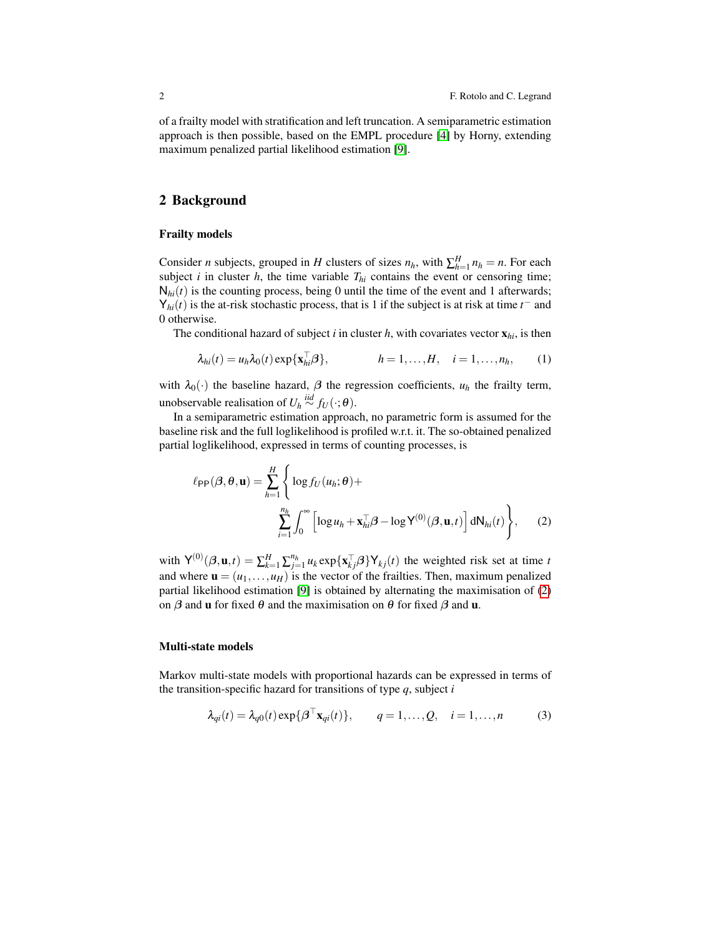of a frailty model with stratification and left truncation. A semiparametric estimation approach is then possible, based on the EMPL procedure [\[4\]](#page-3-9) by Horny, extending maximum penalized partial likelihood estimation [\[9\]](#page-3-10).

## 2 Background

#### Frailty models

Consider *n* subjects, grouped in *H* clusters of sizes  $n_h$ , with  $\sum_{h=1}^{H} n_h = n$ . For each subject  $i$  in cluster  $h$ , the time variable  $T_{hi}$  contains the event or censoring time;  $N<sub>hi</sub>(t)$  is the counting process, being 0 until the time of the event and 1 afterwards;  $Y_{hi}(t)$  is the at-risk stochastic process, that is 1 if the subject is at risk at time  $t^-$  and 0 otherwise.

The conditional hazard of subject *i* in cluster *h*, with covariates vector  $\mathbf{x}_{hi}$ , is then

$$
\lambda_{hi}(t) = u_h \lambda_0(t) \exp\{\mathbf{x}_{hi}^\top \boldsymbol{\beta}\}, \qquad h = 1, \dots, H, \quad i = 1, \dots, n_h, \qquad (1)
$$

with  $\lambda_0(\cdot)$  the baseline hazard,  $\beta$  the regression coefficients,  $u_h$  the frailty term, unobservable realisation of  $U_h \stackrel{iid}{\sim} f_U(\cdot; \theta)$ .

In a semiparametric estimation approach, no parametric form is assumed for the baseline risk and the full loglikelihood is profiled w.r.t. it. The so-obtained penalized partial loglikelihood, expressed in terms of counting processes, is

<span id="page-1-0"></span>
$$
\ell_{\text{PP}}(\boldsymbol{\beta}, \boldsymbol{\theta}, \mathbf{u}) = \sum_{h=1}^{H} \left\{ \log f_U(u_h; \boldsymbol{\theta}) + \sum_{i=1}^{n_h} \int_0^{\infty} \left[ \log u_h + \mathbf{x}_{hi}^\top \boldsymbol{\beta} - \log \mathsf{Y}^{(0)}(\boldsymbol{\beta}, \mathbf{u}, t) \right] dN_{hi}(t) \right\},
$$
 (2)

with  $Y^{(0)}(\beta, \mathbf{u}, t) = \sum_{k=1}^{H} \sum_{j=1}^{n_h} u_k \exp{\{\mathbf{x}_{kj}^{\top}\beta\}} \mathbf{Y}_{kj}(t)$  the weighted risk set at time *t* and where  $\mathbf{u} = (u_1, \dots, u_H)$  is the vector of the frailties. Then, maximum penalized partial likelihood estimation [\[9\]](#page-3-10) is obtained by alternating the maximisation of [\(2\)](#page-1-0) on  $\beta$  and **u** for fixed  $\theta$  and the maximisation on  $\theta$  for fixed  $\beta$  and **u**.

#### Multi-state models

Markov multi-state models with proportional hazards can be expressed in terms of the transition-specific hazard for transitions of type *q*, subject *i*

<span id="page-1-1"></span>
$$
\lambda_{qi}(t) = \lambda_{q0}(t) \exp{\{\beta^{\top} \mathbf{x}_{qi}(t)\}}, \qquad q = 1, \dots, Q, \quad i = 1, \dots, n
$$
 (3)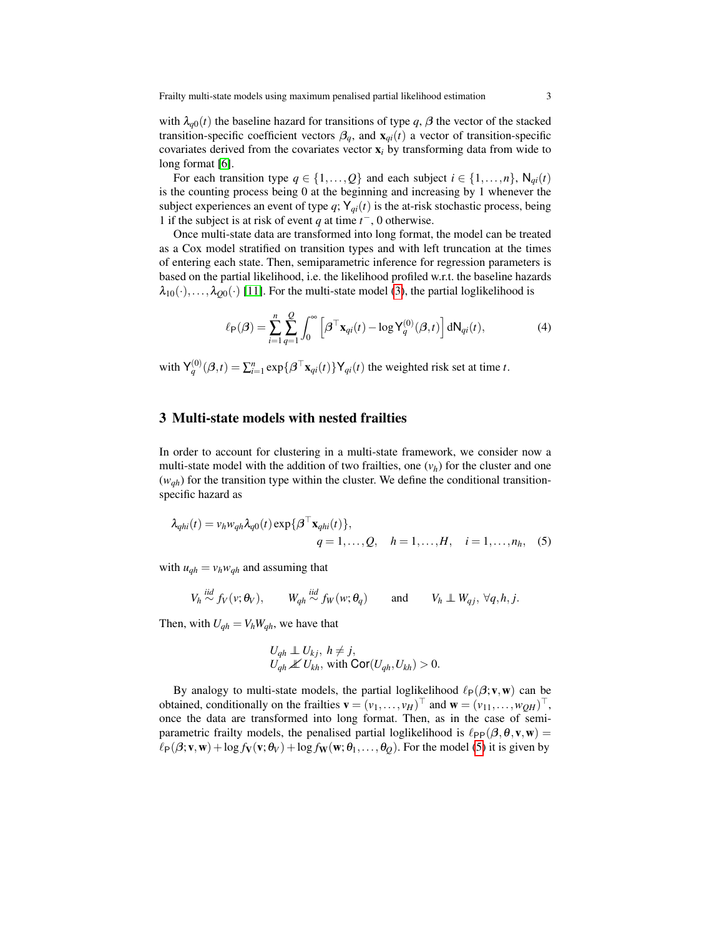with  $\lambda_{q0}(t)$  the baseline hazard for transitions of type q,  $\beta$  the vector of the stacked transition-specific coefficient vectors  $\beta_q$ , and  $\mathbf{x}_{qi}(t)$  a vector of transition-specific covariates derived from the covariates vector x*<sup>i</sup>* by transforming data from wide to long format [\[6\]](#page-3-8).

For each transition type  $q \in \{1, \ldots, Q\}$  and each subject  $i \in \{1, \ldots, n\}$ ,  $\mathsf{N}_{qi}(t)$ is the counting process being 0 at the beginning and increasing by 1 whenever the subject experiences an event of type  $q$ ;  $Y_{qi}(t)$  is the at-risk stochastic process, being 1 if the subject is at risk of event *q* at time  $t^-$ , 0 otherwise.

Once multi-state data are transformed into long format, the model can be treated as a Cox model stratified on transition types and with left truncation at the times of entering each state. Then, semiparametric inference for regression parameters is based on the partial likelihood, i.e. the likelihood profiled w.r.t. the baseline hazards  $\lambda_{10}(\cdot),...,\lambda_{00}(\cdot)$  [\[11\]](#page-3-11). For the multi-state model [\(3\)](#page-1-1), the partial loglikelihood is

$$
\ell_{\mathsf{P}}(\boldsymbol{\beta}) = \sum_{i=1}^{n} \sum_{q=1}^{Q} \int_{0}^{\infty} \left[ \boldsymbol{\beta}^{\top} \mathbf{x}_{qi}(t) - \log \mathsf{Y}_{q}^{(0)}(\boldsymbol{\beta}, t) \right] d\mathsf{N}_{qi}(t), \tag{4}
$$

with  $Y_q^{(0)}(\beta,t) = \sum_{i=1}^n \exp{\{\beta^\top \mathbf{x}_{qi}(t)\}} Y_{qi}(t)$  the weighted risk set at time *t*.

## 3 Multi-state models with nested frailties

In order to account for clustering in a multi-state framework, we consider now a multi-state model with the addition of two frailties, one  $(v_h)$  for the cluster and one  $(w_{qh})$  for the transition type within the cluster. We define the conditional transitionspecific hazard as

$$
\lambda_{qhi}(t) = v_h w_{qh} \lambda_{q0}(t) \exp{\{\boldsymbol{\beta}^\top \mathbf{x}_{qhi}(t)\}},
$$
  
 
$$
q = 1, ..., Q, \quad h = 1, ..., H, \quad i = 1, ..., n_h, \quad (5)
$$

with  $u_{gh} = v_h w_{gh}$  and assuming that

$$
V_h \stackrel{iid}{\sim} f_V(v; \theta_V), \qquad W_{qh} \stackrel{iid}{\sim} f_W(w; \theta_q) \qquad \text{and} \qquad V_h \perp W_{qj}, \ \forall q, h, j.
$$

Then, with  $U_{qh} = V_h W_{qh}$ , we have that

<span id="page-2-0"></span>
$$
U_{qh} \perp U_{kj}, \ h \neq j,
$$
  

$$
U_{qh} \nperp U_{kh}, \text{ with } \text{Cor}(U_{qh}, U_{kh}) > 0.
$$

By analogy to multi-state models, the partial loglikelihood  $\ell_P(\beta;v,w)$  can be obtained, conditionally on the frailties  $\mathbf{v} = (v_1, \dots, v_H)^\top$  and  $\mathbf{w} = (v_{11}, \dots, w_{QH})^\top$ , once the data are transformed into long format. Then, as in the case of semiparametric frailty models, the penalised partial loglikelihood is  $\ell_{PP}(\beta,\theta,v,w) =$  $\ell_P(\beta; v, w) + \log f_V(v; \theta_V) + \log f_W(w; \theta_1, \ldots, \theta_Q)$ . For the model [\(5\)](#page-2-0) it is given by